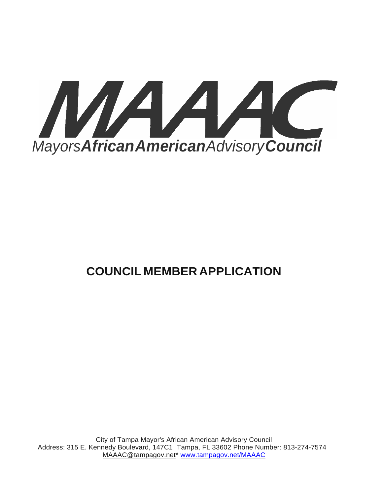

# **COUNCIL MEMBER APPLICATION**

City of Tampa Mayor's African American Advisory Council Address: 315 E. Kennedy Boulevard, 147C1 Tampa, FL 33602 Phone Number: 813-274-7574 [MAAAC@tampagov.net\\*](mailto:MAAAC@tampagov.net) [www.tampagov.net/MAAAC](http://www.tampagov.net/MAAAC)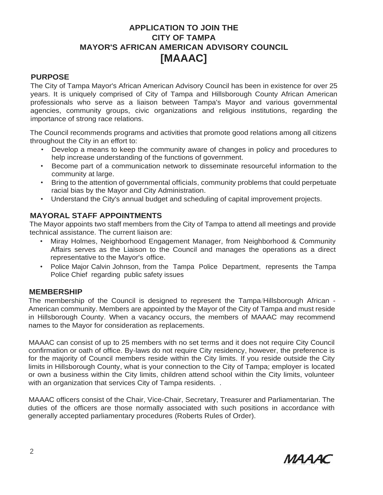# **APPLICATION TO JOIN THE CITY OF TAMPA MAYOR'S AFRICAN AMERICAN ADVISORY COUNCIL [MAAAC]**

# **PURPOSE**

The City of Tampa Mayor's African American Advisory Council has been in existence for over 25 years. It is uniquely comprised of City of Tampa and Hillsborough County African American professionals who serve as a liaison between Tampa's Mayor and various governmental agencies, community groups, civic organizations and religious institutions, regarding the importance of strong race relations.

The Council recommends programs and activities that promote good relations among all citizens throughout the City in an effort to:

- Develop a means to keep the community aware of changes in policy and procedures to help increase understanding of the functions of government.
- Become part of a communication network to disseminate resourceful information to the community at large.
- Bring to the attention of governmental officials, community problems that could perpetuate racial bias by the Mayor and City Administration.
- Understand the City's annual budget and scheduling of capital improvement projects.

# **MAYORAL STAFF APPOINTMENTS**

The Mayor appoints two staff members from the City of Tampa to attend all meetings and provide technical assistance. The current liaison are:

- Miray Holmes, Neighborhood Engagement Manager, from Neighborhood & Community Affairs serves as the Liaison to the Council and manages the operations as a direct representative to the Mayor's office.
- Police Major Calvin Johnson, from the Tampa Police Department, represents the Tampa Police Chief regarding public safety issues

## **MEMBERSHIP**

The membership of the Council is designed to represent the Tampa/Hillsborough African - American community. Members are appointed by the Mayor of the City of Tampa and must reside in Hillsborough County. When a vacancy occurs, the members of MAAAC may recommend names to the Mayor for consideration as replacements.

MAAAC can consist of up to 25 members with no set terms and it does not require City Council confirmation or oath of office. By-laws do not require City residency, however, the preference is for the majority of Council members reside within the City limits. If you reside outside the City limits in Hillsborough County, what is your connection to the City of Tampa; employer is located or own a business within the City limits, children attend school within the City limits, volunteer with an organization that services City of Tampa residents...

MAAAC officers consist of the Chair, Vice-Chair, Secretary, Treasurer and Parliamentarian. The duties of the officers are those normally associated with such positions in accordance with generally accepted parliamentary procedures (Roberts Rules of Order).

MAAAC